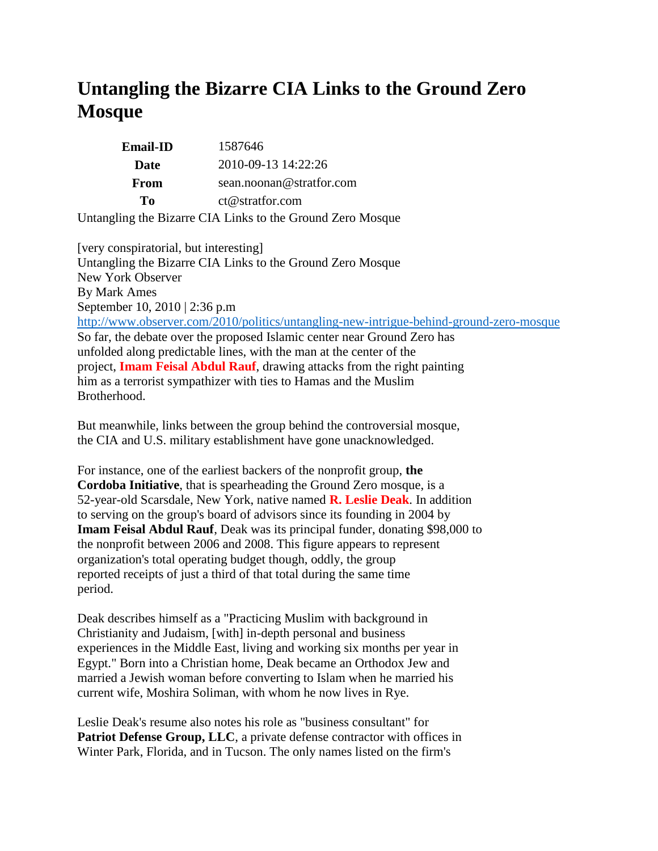## **Untangling the Bizarre CIA Links to the Ground Zero Mosque**

| <b>Email-ID</b> | 1587646                                                    |
|-----------------|------------------------------------------------------------|
| Date            | 2010-09-13 14:22:26                                        |
| From            | sean.noonan@stratfor.com                                   |
| To              | ct@stratfor.com                                            |
|                 | Untangling the Bizarre CIA Links to the Ground Zero Mosque |

[very conspiratorial, but interesting] Untangling the Bizarre CIA Links to the Ground Zero Mosque New York Observer By Mark Ames September 10, 2010 | 2:36 p.m <http://www.observer.com/2010/politics/untangling-new-intrigue-behind-ground-zero-mosque> So far, the debate over the proposed Islamic center near Ground Zero has unfolded along predictable lines, with the man at the center of the project, **Imam Feisal Abdul Rauf**, drawing attacks from the right painting him as a terrorist sympathizer with ties to Hamas and the Muslim Brotherhood.

But meanwhile, links between the group behind the controversial mosque, the CIA and U.S. military establishment have gone unacknowledged.

For instance, one of the earliest backers of the nonprofit group, **the Cordoba Initiative**, that is spearheading the Ground Zero mosque, is a 52-year-old Scarsdale, New York, native named **R. Leslie Deak**. In addition to serving on the group's board of advisors since its founding in 2004 by **Imam Feisal Abdul Rauf**, Deak was its principal funder, donating \$98,000 to the nonprofit between 2006 and 2008. This figure appears to represent organization's total operating budget though, oddly, the group reported receipts of just a third of that total during the same time period.

Deak describes himself as a "Practicing Muslim with background in Christianity and Judaism, [with] in-depth personal and business experiences in the Middle East, living and working six months per year in Egypt." Born into a Christian home, Deak became an Orthodox Jew and married a Jewish woman before converting to Islam when he married his current wife, Moshira Soliman, with whom he now lives in Rye.

Leslie Deak's resume also notes his role as "business consultant" for **Patriot Defense Group, LLC**, a private defense contractor with offices in Winter Park, Florida, and in Tucson. The only names listed on the firm's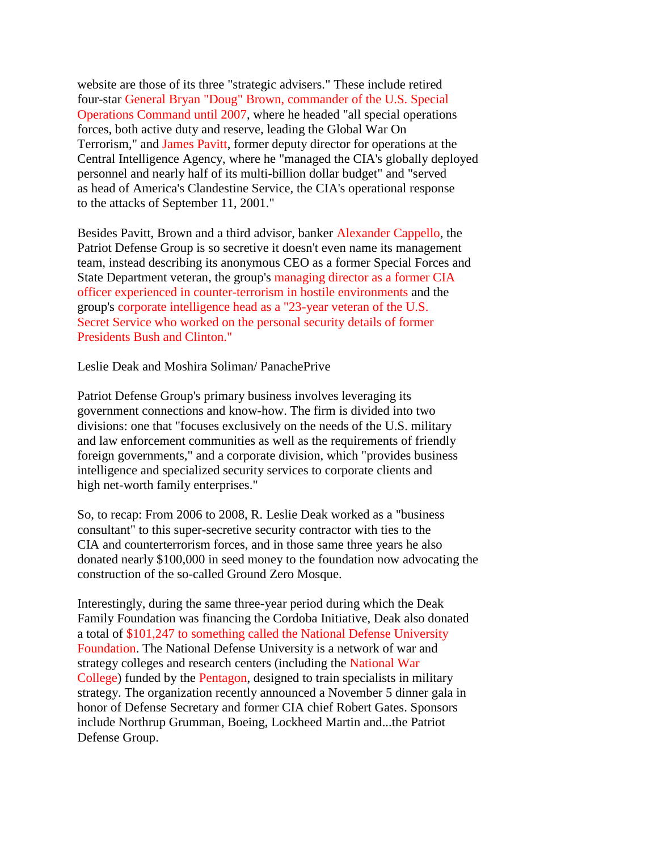website are those of its three "strategic advisers." These include retired four-star General Bryan "Doug" Brown, commander of the U.S. Special Operations Command until 2007, where he headed "all special operations forces, both active duty and reserve, leading the Global War On Terrorism," and James Pavitt, former deputy director for operations at the Central Intelligence Agency, where he "managed the CIA's globally deployed personnel and nearly half of its multi-billion dollar budget" and "served as head of America's Clandestine Service, the CIA's operational response to the attacks of September 11, 2001."

Besides Pavitt, Brown and a third advisor, banker Alexander Cappello, the Patriot Defense Group is so secretive it doesn't even name its management team, instead describing its anonymous CEO as a former Special Forces and State Department veteran, the group's managing director as a former CIA officer experienced in counter-terrorism in hostile environments and the group's corporate intelligence head as a "23-year veteran of the U.S. Secret Service who worked on the personal security details of former Presidents Bush and Clinton."

Leslie Deak and Moshira Soliman/ PanachePrive

Patriot Defense Group's primary business involves leveraging its government connections and know-how. The firm is divided into two divisions: one that "focuses exclusively on the needs of the U.S. military and law enforcement communities as well as the requirements of friendly foreign governments," and a corporate division, which "provides business intelligence and specialized security services to corporate clients and high net-worth family enterprises."

So, to recap: From 2006 to 2008, R. Leslie Deak worked as a "business consultant" to this super-secretive security contractor with ties to the CIA and counterterrorism forces, and in those same three years he also donated nearly \$100,000 in seed money to the foundation now advocating the construction of the so-called Ground Zero Mosque.

Interestingly, during the same three-year period during which the Deak Family Foundation was financing the Cordoba Initiative, Deak also donated a total of \$101,247 to something called the National Defense University Foundation. The National Defense University is a network of war and strategy colleges and research centers (including the National War College) funded by the Pentagon, designed to train specialists in military strategy. The organization recently announced a November 5 dinner gala in honor of Defense Secretary and former CIA chief Robert Gates. Sponsors include Northrup Grumman, Boeing, Lockheed Martin and...the Patriot Defense Group.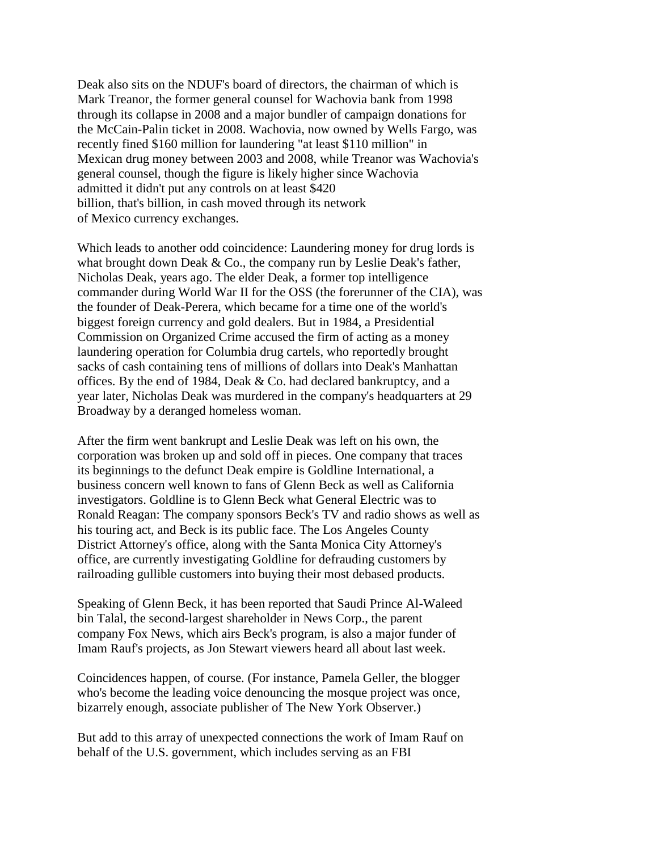Deak also sits on the NDUF's board of directors, the chairman of which is Mark Treanor, the former general counsel for Wachovia bank from 1998 through its collapse in 2008 and a major bundler of campaign donations for the McCain-Palin ticket in 2008. Wachovia, now owned by Wells Fargo, was recently fined \$160 million for laundering "at least \$110 million" in Mexican drug money between 2003 and 2008, while Treanor was Wachovia's general counsel, though the figure is likely higher since Wachovia admitted it didn't put any controls on at least \$420 billion, that's billion, in cash moved through its network of Mexico currency exchanges.

Which leads to another odd coincidence: Laundering money for drug lords is what brought down Deak & Co., the company run by Leslie Deak's father, Nicholas Deak, years ago. The elder Deak, a former top intelligence commander during World War II for the OSS (the forerunner of the CIA), was the founder of Deak-Perera, which became for a time one of the world's biggest foreign currency and gold dealers. But in 1984, a Presidential Commission on Organized Crime accused the firm of acting as a money laundering operation for Columbia drug cartels, who reportedly brought sacks of cash containing tens of millions of dollars into Deak's Manhattan offices. By the end of 1984, Deak & Co. had declared bankruptcy, and a year later, Nicholas Deak was murdered in the company's headquarters at 29 Broadway by a deranged homeless woman.

After the firm went bankrupt and Leslie Deak was left on his own, the corporation was broken up and sold off in pieces. One company that traces its beginnings to the defunct Deak empire is Goldline International, a business concern well known to fans of Glenn Beck as well as California investigators. Goldline is to Glenn Beck what General Electric was to Ronald Reagan: The company sponsors Beck's TV and radio shows as well as his touring act, and Beck is its public face. The Los Angeles County District Attorney's office, along with the Santa Monica City Attorney's office, are currently investigating Goldline for defrauding customers by railroading gullible customers into buying their most debased products.

Speaking of Glenn Beck, it has been reported that Saudi Prince Al-Waleed bin Talal, the second-largest shareholder in News Corp., the parent company Fox News, which airs Beck's program, is also a major funder of Imam Rauf's projects, as Jon Stewart viewers heard all about last week.

Coincidences happen, of course. (For instance, Pamela Geller, the blogger who's become the leading voice denouncing the mosque project was once, bizarrely enough, associate publisher of The New York Observer.)

But add to this array of unexpected connections the work of Imam Rauf on behalf of the U.S. government, which includes serving as an FBI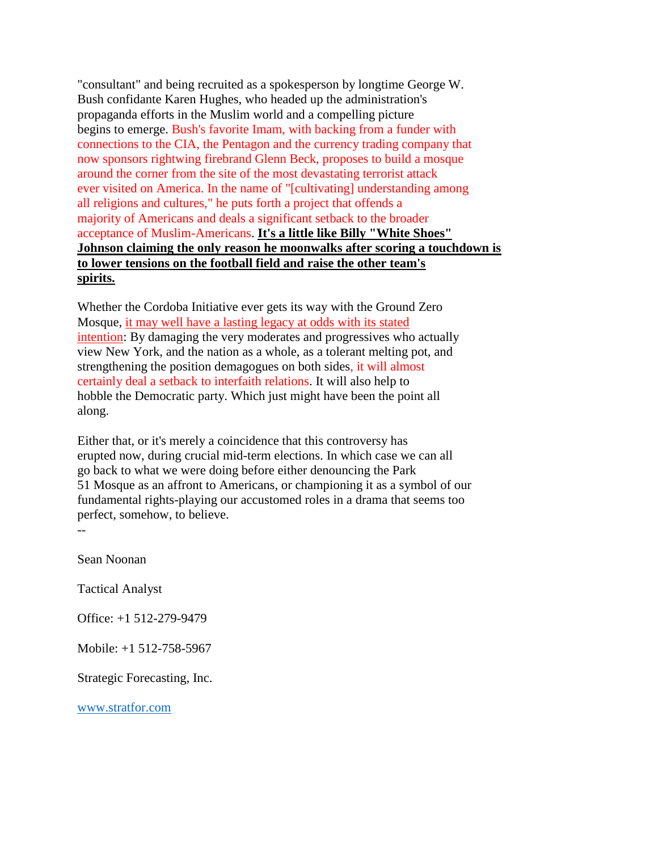"consultant" and being recruited as a spokesperson by longtime George W. Bush confidante Karen Hughes, who headed up the administration's propaganda efforts in the Muslim world and a compelling picture begins to emerge. Bush's favorite Imam, with backing from a funder with connections to the CIA, the Pentagon and the currency trading company that now sponsors rightwing firebrand Glenn Beck, proposes to build a mosque around the corner from the site of the most devastating terrorist attack ever visited on America. In the name of "[cultivating] understanding among all religions and cultures," he puts forth a project that offends a majority of Americans and deals a significant setback to the broader acceptance of Muslim-Americans. **It's a little like Billy "White Shoes" Johnson claiming the only reason he moonwalks after scoring a touchdown is to lower tensions on the football field and raise the other team's spirits.**

Whether the Cordoba Initiative ever gets its way with the Ground Zero Mosque, it may well have a lasting legacy at odds with its stated intention: By damaging the very moderates and progressives who actually view New York, and the nation as a whole, as a tolerant melting pot, and strengthening the position demagogues on both sides, it will almost certainly deal a setback to interfaith relations. It will also help to hobble the Democratic party. Which just might have been the point all along.

Either that, or it's merely a coincidence that this controversy has erupted now, during crucial mid-term elections. In which case we can all go back to what we were doing before either denouncing the Park 51 Mosque as an affront to Americans, or championing it as a symbol of our fundamental rights-playing our accustomed roles in a drama that seems too perfect, somehow, to believe.

Sean Noonan

 $-$ 

Tactical Analyst

Office: +1 512-279-9479

Mobile: +1 512-758-5967

Strategic Forecasting, Inc.

[www.stratfor.com](http://www.stratfor.com/)